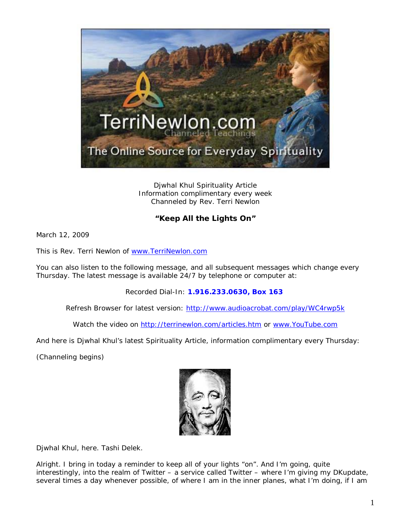

Djwhal Khul Spirituality Article Information complimentary every week Channeled by Rev. Terri Newlon

## **"Keep All the Lights On"**

March 12, 2009

This is Rev. Terri Newlon of [www.TerriNewlon.com](http://www.terrinewlon.com/)

You can also listen to the following message, and all subsequent messages which change every Thursday. The latest message is available 24/7 by telephone or computer at:

Recorded Dial-In: **1.916.233.0630, Box 163**

Refresh Browser for latest version: <http://www.audioacrobat.com/play/WC4rwp5k>

Watch the video on<http://terrinewlon.com/articles.htm> or [www.YouTube.com](http://www.youtube.com/)

And here is Djwhal Khul's latest Spirituality Article, information complimentary every Thursday:

(Channeling begins)



Djwhal Khul, here. Tashi Delek.

Alright. I bring in today a reminder to keep all of your lights "on". And I'm going, quite interestingly, into the realm of Twitter – a service called Twitter – where I'm giving my DKupdate, several times a day whenever possible, of where I am in the inner planes, what I'm doing, if I am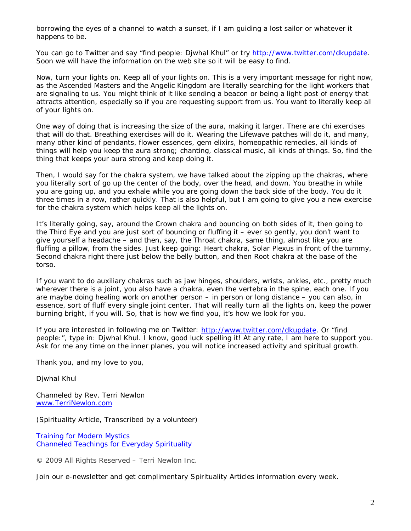borrowing the eyes of a channel to watch a sunset, if I am guiding a lost sailor or whatever it happens to be.

You can go to Twitter and say "find people: Djwhal Khul" or try [http://www.twitter.com/dkupdate.](http://www.twitter.com/dkupdate) Soon we will have the information on the web site so it will be easy to find.

Now, turn your lights on. Keep all of your lights on. This is a very important message for right now, as the Ascended Masters and the Angelic Kingdom are literally searching for the light workers that are signaling to us. You might think of it like sending a beacon or being a light post of energy that attracts attention, especially so if you are requesting support from us. You want to literally keep all of your lights on.

One way of doing that is increasing the size of the aura, making it larger. There are *chi* exercises that will do that. Breathing exercises will do it. Wearing the *Lifewave* patches will do it, and many, many other kind of pendants, flower essences, gem elixirs, homeopathic remedies, all kinds of things will help you keep the aura strong; chanting, classical music, all kinds of things. So, find the thing that keeps your aura strong and keep doing it.

Then, I would say for the chakra system, we have talked about the zipping up the chakras, where you literally sort of go up the center of the body, over the head, and down. You breathe in while you are going up, and you exhale while you are going down the back side of the body. You do it three times in a row, rather quickly. That is also helpful, but I am going to give you a new exercise for the chakra system which helps keep all the lights on.

It's literally going, say, around the Crown chakra and bouncing on both sides of it, then going to the Third Eye and you are just sort of bouncing or fluffing it – ever so gently, you don't want to give yourself a headache – and then, say, the Throat chakra, same thing, almost like you are fluffing a pillow, from the sides. Just keep going: Heart chakra, Solar Plexus in front of the tummy, Second chakra right there just below the belly button, and then Root chakra at the base of the torso.

If you want to do auxiliary chakras such as jaw hinges, shoulders, wrists, ankles, etc., pretty much wherever there is a joint, you also have a chakra, even the vertebra in the spine, each one. If you are maybe doing healing work on another person – in person or long distance – you can also, in essence, sort of fluff every single joint center. That will *really* turn all the lights on, keep the power burning bright, if you will. So, that is how we find you, it's how we look for you.

If you are interested in following me on Twitter: [http://www.twitter.com/dkupdate.](http://www.twitter.com/dkupdate) Or "find people:", type in: Djwhal Khul. I know, good luck spelling it! At any rate, I am here to support you. Ask for me any time on the inner planes, you will notice increased activity and spiritual growth.

Thank you, and my love to you,

Djwhal Khul

Channeled by Rev. Terri Newlon [www.TerriNewlon.com](http://www.terrinewlon.com/)

(Spirituality Article, Transcribed by a volunteer)

Training for Modern Mystics [Channeled Teachings for Everyday Spirituality](http://www.terrinewlon.com/)

© 2009 All Rights Reserved – Terri Newlon Inc.

Join our e-newsletter and get complimentary Spirituality Articles information every week.